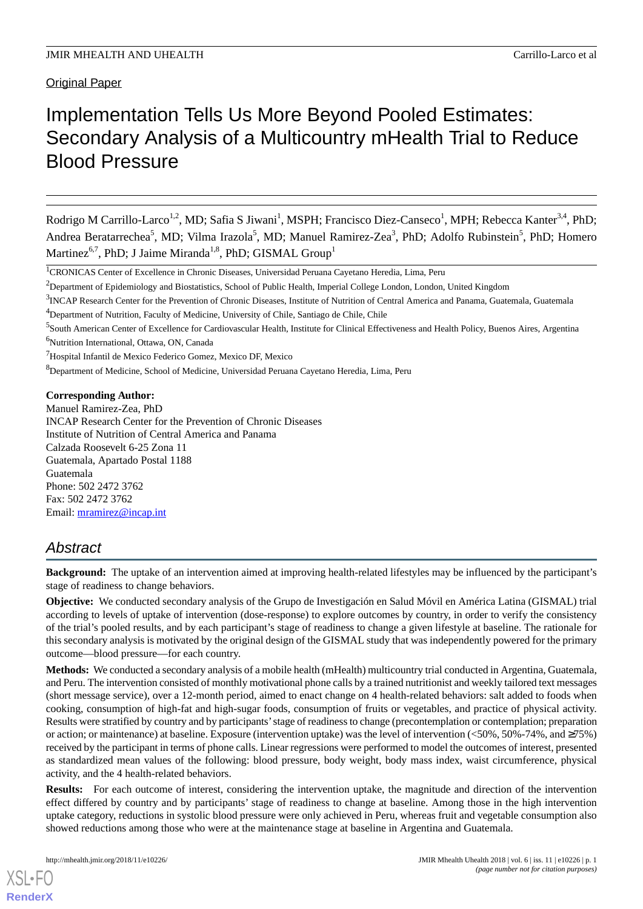# Implementation Tells Us More Beyond Pooled Estimates: Secondary Analysis of a Multicountry mHealth Trial to Reduce Blood Pressure

Rodrigo M Carrillo-Larco<sup>1,2</sup>, MD; Safia S Jiwani<sup>1</sup>, MSPH; Francisco Diez-Canseco<sup>1</sup>, MPH; Rebecca Kanter<sup>3,4</sup>, PhD; Andrea Beratarrechea<sup>5</sup>, MD; Vilma Irazola<sup>5</sup>, MD; Manuel Ramirez-Zea<sup>3</sup>, PhD; Adolfo Rubinstein<sup>5</sup>, PhD; Homero Martinez<sup>6,7</sup>, PhD; J Jaime Miranda<sup>1,8</sup>, PhD; GISMAL Group<sup>1</sup>

<sup>5</sup> South American Center of Excellence for Cardiovascular Health, Institute for Clinical Effectiveness and Health Policy, Buenos Aires, Argentina <sup>6</sup>Nutrition International, Ottawa, ON, Canada

<sup>8</sup>Department of Medicine, School of Medicine, Universidad Peruana Cayetano Heredia, Lima, Peru

**Corresponding Author:**

Manuel Ramirez-Zea, PhD INCAP Research Center for the Prevention of Chronic Diseases Institute of Nutrition of Central America and Panama Calzada Roosevelt 6-25 Zona 11 Guatemala, Apartado Postal 1188 Guatemala Phone: 502 2472 3762 Fax: 502 2472 3762 Email: [mramirez@incap.int](mailto:mramirez@incap.int)

## *Abstract*

**Background:** The uptake of an intervention aimed at improving health-related lifestyles may be influenced by the participant's stage of readiness to change behaviors.

**Objective:** We conducted secondary analysis of the Grupo de Investigación en Salud Móvil en América Latina (GISMAL) trial according to levels of uptake of intervention (dose-response) to explore outcomes by country, in order to verify the consistency of the trial's pooled results, and by each participant's stage of readiness to change a given lifestyle at baseline. The rationale for this secondary analysis is motivated by the original design of the GISMAL study that was independently powered for the primary outcome—blood pressure—for each country.

**Methods:** We conducted a secondary analysis of a mobile health (mHealth) multicountry trial conducted in Argentina, Guatemala, and Peru. The intervention consisted of monthly motivational phone calls by a trained nutritionist and weekly tailored text messages (short message service), over a 12-month period, aimed to enact change on 4 health-related behaviors: salt added to foods when cooking, consumption of high-fat and high-sugar foods, consumption of fruits or vegetables, and practice of physical activity. Results were stratified by country and by participants'stage of readiness to change (precontemplation or contemplation; preparation or action; or maintenance) at baseline. Exposure (intervention uptake) was the level of intervention (<50%, 50%-74%, and ≥75%) received by the participant in terms of phone calls. Linear regressions were performed to model the outcomes of interest, presented as standardized mean values of the following: blood pressure, body weight, body mass index, waist circumference, physical activity, and the 4 health-related behaviors.

**Results:** For each outcome of interest, considering the intervention uptake, the magnitude and direction of the intervention effect differed by country and by participants' stage of readiness to change at baseline. Among those in the high intervention uptake category, reductions in systolic blood pressure were only achieved in Peru, whereas fruit and vegetable consumption also showed reductions among those who were at the maintenance stage at baseline in Argentina and Guatemala.

[XSL](http://www.w3.org/Style/XSL)•FO **[RenderX](http://www.renderx.com/)**

<sup>1</sup>CRONICAS Center of Excellence in Chronic Diseases, Universidad Peruana Cayetano Heredia, Lima, Peru

<sup>&</sup>lt;sup>2</sup>Department of Epidemiology and Biostatistics, School of Public Health, Imperial College London, London, United Kingdom

<sup>&</sup>lt;sup>3</sup>INCAP Research Center for the Prevention of Chronic Diseases, Institute of Nutrition of Central America and Panama, Guatemala, Guatemala

<sup>&</sup>lt;sup>4</sup>Department of Nutrition, Faculty of Medicine, University of Chile, Santiago de Chile, Chile

<sup>7</sup>Hospital Infantil de Mexico Federico Gomez, Mexico DF, Mexico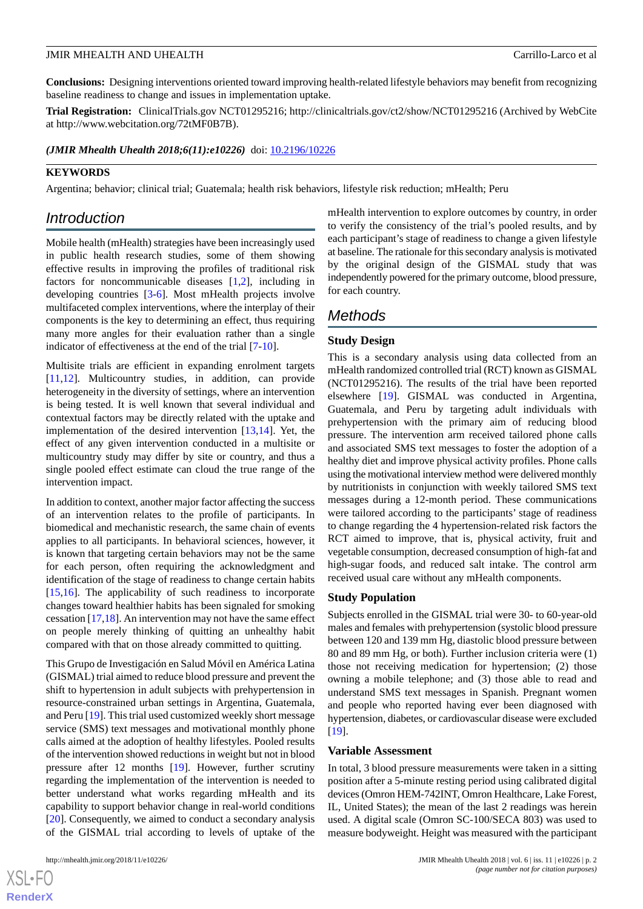**Conclusions:** Designing interventions oriented toward improving health-related lifestyle behaviors may benefit from recognizing baseline readiness to change and issues in implementation uptake.

**Trial Registration:** ClinicalTrials.gov NCT01295216; http://clinicaltrials.gov/ct2/show/NCT01295216 (Archived by WebCite at http://www.webcitation.org/72tMF0B7B).

(JMIR Mhealth Uhealth 2018;6(11):e10226) doi: [10.2196/10226](http://dx.doi.org/10.2196/10226)

## **KEYWORDS**

Argentina; behavior; clinical trial; Guatemala; health risk behaviors, lifestyle risk reduction; mHealth; Peru

## *Introduction*

Mobile health (mHealth) strategies have been increasingly used in public health research studies, some of them showing effective results in improving the profiles of traditional risk factors for noncommunicable diseases [[1,](#page-6-0)[2](#page-6-1)], including in developing countries [[3-](#page-6-2)[6\]](#page-7-0). Most mHealth projects involve multifaceted complex interventions, where the interplay of their components is the key to determining an effect, thus requiring many more angles for their evaluation rather than a single indicator of effectiveness at the end of the trial [\[7](#page-7-1)-[10\]](#page-7-2).

Multisite trials are efficient in expanding enrolment targets [[11](#page-7-3)[,12](#page-7-4)]. Multicountry studies, in addition, can provide heterogeneity in the diversity of settings, where an intervention is being tested. It is well known that several individual and contextual factors may be directly related with the uptake and implementation of the desired intervention [[13](#page-7-5)[,14](#page-7-6)]. Yet, the effect of any given intervention conducted in a multisite or multicountry study may differ by site or country, and thus a single pooled effect estimate can cloud the true range of the intervention impact.

In addition to context, another major factor affecting the success of an intervention relates to the profile of participants. In biomedical and mechanistic research, the same chain of events applies to all participants. In behavioral sciences, however, it is known that targeting certain behaviors may not be the same for each person, often requiring the acknowledgment and identification of the stage of readiness to change certain habits [[15](#page-7-7)[,16](#page-7-8)]. The applicability of such readiness to incorporate changes toward healthier habits has been signaled for smoking cessation [\[17](#page-7-9),[18\]](#page-7-10). An intervention may not have the same effect on people merely thinking of quitting an unhealthy habit compared with that on those already committed to quitting.

This Grupo de Investigación en Salud Móvil en América Latina (GISMAL) trial aimed to reduce blood pressure and prevent the shift to hypertension in adult subjects with prehypertension in resource-constrained urban settings in Argentina, Guatemala, and Peru [\[19](#page-7-11)]. This trial used customized weekly short message service (SMS) text messages and motivational monthly phone calls aimed at the adoption of healthy lifestyles. Pooled results of the intervention showed reductions in weight but not in blood pressure after 12 months [[19\]](#page-7-11). However, further scrutiny regarding the implementation of the intervention is needed to better understand what works regarding mHealth and its capability to support behavior change in real-world conditions [[20\]](#page-7-12). Consequently, we aimed to conduct a secondary analysis of the GISMAL trial according to levels of uptake of the

 $XSI - F($ **[RenderX](http://www.renderx.com/)** mHealth intervention to explore outcomes by country, in order to verify the consistency of the trial's pooled results, and by each participant's stage of readiness to change a given lifestyle at baseline. The rationale for this secondary analysis is motivated by the original design of the GISMAL study that was independently powered for the primary outcome, blood pressure, for each country.

## *Methods*

## **Study Design**

This is a secondary analysis using data collected from an mHealth randomized controlled trial (RCT) known as GISMAL (NCT01295216). The results of the trial have been reported elsewhere [\[19](#page-7-11)]. GISMAL was conducted in Argentina, Guatemala, and Peru by targeting adult individuals with prehypertension with the primary aim of reducing blood pressure. The intervention arm received tailored phone calls and associated SMS text messages to foster the adoption of a healthy diet and improve physical activity profiles. Phone calls using the motivational interview method were delivered monthly by nutritionists in conjunction with weekly tailored SMS text messages during a 12-month period. These communications were tailored according to the participants' stage of readiness to change regarding the 4 hypertension-related risk factors the RCT aimed to improve, that is, physical activity, fruit and vegetable consumption, decreased consumption of high-fat and high-sugar foods, and reduced salt intake. The control arm received usual care without any mHealth components.

## **Study Population**

Subjects enrolled in the GISMAL trial were 30- to 60-year-old males and females with prehypertension (systolic blood pressure between 120 and 139 mm Hg, diastolic blood pressure between 80 and 89 mm Hg, or both). Further inclusion criteria were (1) those not receiving medication for hypertension; (2) those owning a mobile telephone; and (3) those able to read and understand SMS text messages in Spanish. Pregnant women and people who reported having ever been diagnosed with hypertension, diabetes, or cardiovascular disease were excluded [[19\]](#page-7-11).

#### **Variable Assessment**

In total, 3 blood pressure measurements were taken in a sitting position after a 5-minute resting period using calibrated digital devices (Omron HEM-742INT, Omron Healthcare, Lake Forest, IL, United States); the mean of the last 2 readings was herein used. A digital scale (Omron SC-100/SECA 803) was used to measure bodyweight. Height was measured with the participant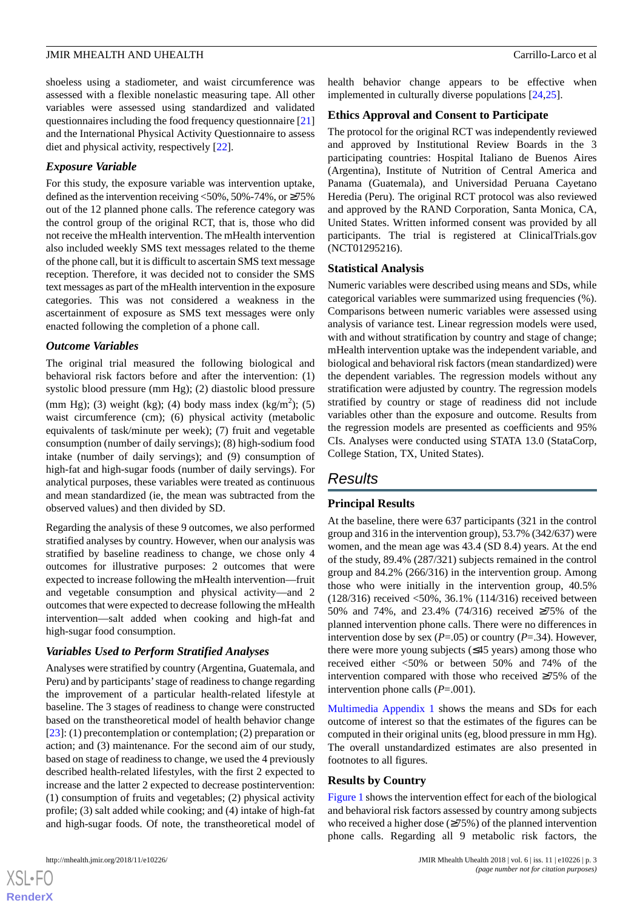shoeless using a stadiometer, and waist circumference was assessed with a flexible nonelastic measuring tape. All other variables were assessed using standardized and validated questionnaires including the food frequency questionnaire [\[21](#page-7-13)] and the International Physical Activity Questionnaire to assess diet and physical activity, respectively [[22\]](#page-7-14).

## *Exposure Variable*

For this study, the exposure variable was intervention uptake, defined as the intervention receiving  $\langle 50\%, 50\% \cdot 74\%, \text{ or } \ge 75\% \rangle$ out of the 12 planned phone calls. The reference category was the control group of the original RCT, that is, those who did not receive the mHealth intervention. The mHealth intervention also included weekly SMS text messages related to the theme of the phone call, but it is difficult to ascertain SMS text message reception. Therefore, it was decided not to consider the SMS text messages as part of the mHealth intervention in the exposure categories. This was not considered a weakness in the ascertainment of exposure as SMS text messages were only enacted following the completion of a phone call.

## *Outcome Variables*

The original trial measured the following biological and behavioral risk factors before and after the intervention: (1) systolic blood pressure (mm Hg); (2) diastolic blood pressure (mm Hg); (3) weight (kg); (4) body mass index (kg/m<sup>2</sup>); (5) waist circumference (cm); (6) physical activity (metabolic equivalents of task/minute per week); (7) fruit and vegetable consumption (number of daily servings); (8) high-sodium food intake (number of daily servings); and (9) consumption of high-fat and high-sugar foods (number of daily servings). For analytical purposes, these variables were treated as continuous and mean standardized (ie, the mean was subtracted from the observed values) and then divided by SD.

Regarding the analysis of these 9 outcomes, we also performed stratified analyses by country. However, when our analysis was stratified by baseline readiness to change, we chose only 4 outcomes for illustrative purposes: 2 outcomes that were expected to increase following the mHealth intervention—fruit and vegetable consumption and physical activity—and 2 outcomes that were expected to decrease following the mHealth intervention—salt added when cooking and high-fat and high-sugar food consumption.

## *Variables Used to Perform Stratified Analyses*

Analyses were stratified by country (Argentina, Guatemala, and Peru) and by participants'stage of readiness to change regarding the improvement of a particular health-related lifestyle at baseline. The 3 stages of readiness to change were constructed based on the transtheoretical model of health behavior change [[23\]](#page-7-15): (1) precontemplation or contemplation; (2) preparation or action; and (3) maintenance. For the second aim of our study, based on stage of readiness to change, we used the 4 previously described health-related lifestyles, with the first 2 expected to increase and the latter 2 expected to decrease postintervention: (1) consumption of fruits and vegetables; (2) physical activity profile; (3) salt added while cooking; and (4) intake of high-fat and high-sugar foods. Of note, the transtheoretical model of health behavior change appears to be effective when implemented in culturally diverse populations [[24](#page-7-16)[,25](#page-7-17)].

## **Ethics Approval and Consent to Participate**

The protocol for the original RCT was independently reviewed and approved by Institutional Review Boards in the 3 participating countries: Hospital Italiano de Buenos Aires (Argentina), Institute of Nutrition of Central America and Panama (Guatemala), and Universidad Peruana Cayetano Heredia (Peru). The original RCT protocol was also reviewed and approved by the RAND Corporation, Santa Monica, CA, United States. Written informed consent was provided by all participants. The trial is registered at ClinicalTrials.gov (NCT01295216).

## **Statistical Analysis**

Numeric variables were described using means and SDs, while categorical variables were summarized using frequencies (%). Comparisons between numeric variables were assessed using analysis of variance test. Linear regression models were used, with and without stratification by country and stage of change; mHealth intervention uptake was the independent variable, and biological and behavioral risk factors (mean standardized) were the dependent variables. The regression models without any stratification were adjusted by country. The regression models stratified by country or stage of readiness did not include variables other than the exposure and outcome. Results from the regression models are presented as coefficients and 95% CIs. Analyses were conducted using STATA 13.0 (StataCorp, College Station, TX, United States).

## *Results*

## **Principal Results**

At the baseline, there were 637 participants (321 in the control group and 316 in the intervention group), 53.7% (342/637) were women, and the mean age was 43.4 (SD 8.4) years. At the end of the study, 89.4% (287/321) subjects remained in the control group and 84.2% (266/316) in the intervention group. Among those who were initially in the intervention group, 40.5% (128/316) received <50%, 36.1% (114/316) received between 50% and 74%, and 23.4% (74/316) received ≥75% of the planned intervention phone calls. There were no differences in intervention dose by sex  $(P=.05)$  or country  $(P=.34)$ . However, there were more young subjects  $(\leq 45$  years) among those who received either <50% or between 50% and 74% of the intervention compared with those who received ≥75% of the intervention phone calls (*P*=.001).

[Multimedia Appendix 1](#page-6-3) shows the means and SDs for each outcome of interest so that the estimates of the figures can be computed in their original units (eg, blood pressure in mm Hg). The overall unstandardized estimates are also presented in footnotes to all figures.

## **Results by Country**

[Figure 1](#page-3-0) shows the intervention effect for each of the biological and behavioral risk factors assessed by country among subjects who received a higher dose  $(\geq 75\%)$  of the planned intervention phone calls. Regarding all 9 metabolic risk factors, the

 $XS$ -FO **[RenderX](http://www.renderx.com/)**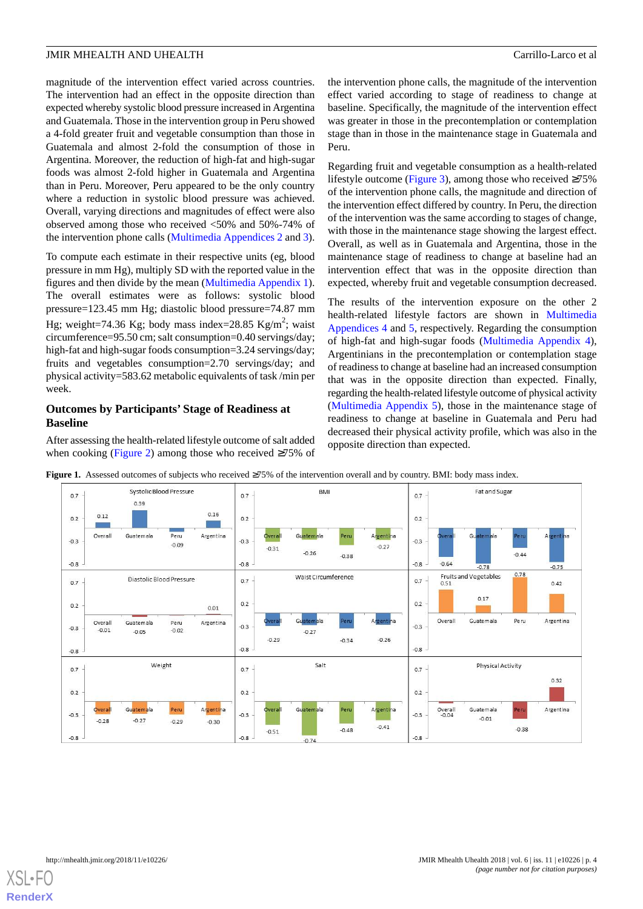magnitude of the intervention effect varied across countries. The intervention had an effect in the opposite direction than expected whereby systolic blood pressure increased in Argentina and Guatemala. Those in the intervention group in Peru showed a 4-fold greater fruit and vegetable consumption than those in Guatemala and almost 2-fold the consumption of those in Argentina. Moreover, the reduction of high-fat and high-sugar foods was almost 2-fold higher in Guatemala and Argentina than in Peru. Moreover, Peru appeared to be the only country where a reduction in systolic blood pressure was achieved. Overall, varying directions and magnitudes of effect were also observed among those who received <50% and 50%-74% of the intervention phone calls [\(Multimedia Appendices 2](#page-6-4) and [3\)](#page-6-5).

To compute each estimate in their respective units (eg, blood pressure in mm Hg), multiply SD with the reported value in the figures and then divide by the mean [\(Multimedia Appendix 1\)](#page-6-3). The overall estimates were as follows: systolic blood pressure=123.45 mm Hg; diastolic blood pressure=74.87 mm Hg; weight=74.36 Kg; body mass index=28.85 Kg/m<sup>2</sup>; waist circumference=95.50 cm; salt consumption=0.40 servings/day; high-fat and high-sugar foods consumption=3.24 servings/day; fruits and vegetables consumption=2.70 servings/day; and physical activity=583.62 metabolic equivalents of task /min per week.

## **Outcomes by Participants' Stage of Readiness at Baseline**

<span id="page-3-0"></span>After assessing the health-related lifestyle outcome of salt added when cooking ([Figure 2\)](#page-4-0) among those who received ≥75% of the intervention phone calls, the magnitude of the intervention effect varied according to stage of readiness to change at baseline. Specifically, the magnitude of the intervention effect was greater in those in the precontemplation or contemplation stage than in those in the maintenance stage in Guatemala and Peru.

Regarding fruit and vegetable consumption as a health-related lifestyle outcome [\(Figure 3\)](#page-4-1), among those who received  $\geq 75\%$ of the intervention phone calls, the magnitude and direction of the intervention effect differed by country. In Peru, the direction of the intervention was the same according to stages of change, with those in the maintenance stage showing the largest effect. Overall, as well as in Guatemala and Argentina, those in the maintenance stage of readiness to change at baseline had an intervention effect that was in the opposite direction than expected, whereby fruit and vegetable consumption decreased.

The results of the intervention exposure on the other 2 health-related lifestyle factors are shown in [Multimedia](#page-6-6) [Appendices 4](#page-6-6) and [5,](#page-6-7) respectively. Regarding the consumption of high-fat and high-sugar foods [\(Multimedia Appendix 4\)](#page-6-6), Argentinians in the precontemplation or contemplation stage of readiness to change at baseline had an increased consumption that was in the opposite direction than expected. Finally, regarding the health-related lifestyle outcome of physical activity ([Multimedia Appendix 5](#page-6-7)), those in the maintenance stage of readiness to change at baseline in Guatemala and Peru had decreased their physical activity profile, which was also in the opposite direction than expected.



**Figure 1.** Assessed outcomes of subjects who received ≥75% of the intervention overall and by country. BMI: body mass index.

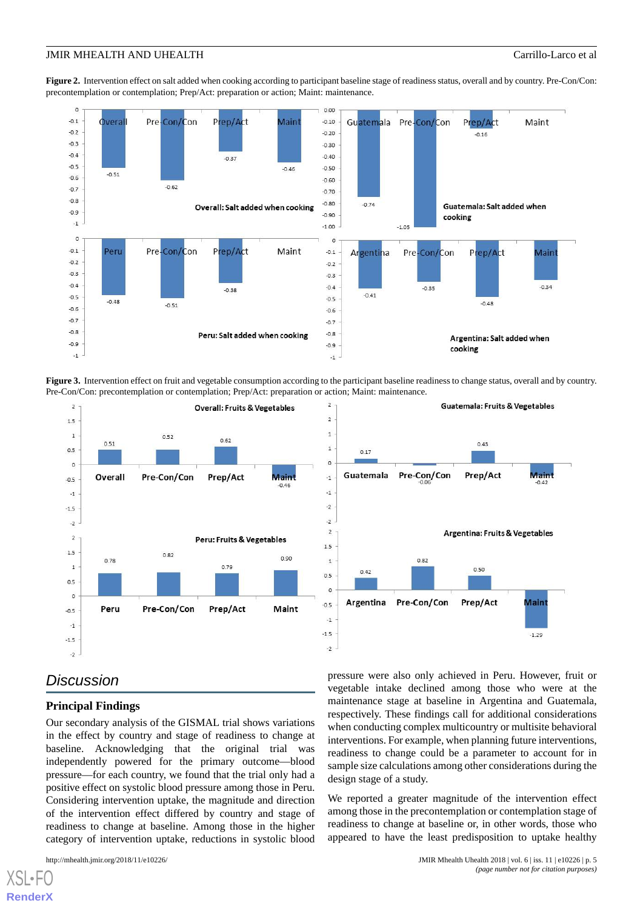<span id="page-4-0"></span>**Figure 2.** Intervention effect on salt added when cooking according to participant baseline stage of readiness status, overall and by country. Pre-Con/Con: precontemplation or contemplation; Prep/Act: preparation or action; Maint: maintenance.



<span id="page-4-1"></span>**Figure 3.** Intervention effect on fruit and vegetable consumption according to the participant baseline readiness to change status, overall and by country. Pre-Con/Con: precontemplation or contemplation; Prep/Act: preparation or action; Maint: maintenance.





## *Discussion*

## **Principal Findings**

Our secondary analysis of the GISMAL trial shows variations in the effect by country and stage of readiness to change at baseline. Acknowledging that the original trial was independently powered for the primary outcome—blood pressure—for each country, we found that the trial only had a positive effect on systolic blood pressure among those in Peru. Considering intervention uptake, the magnitude and direction of the intervention effect differed by country and stage of readiness to change at baseline. Among those in the higher category of intervention uptake, reductions in systolic blood

[XSL](http://www.w3.org/Style/XSL)•FO **[RenderX](http://www.renderx.com/)**

pressure were also only achieved in Peru. However, fruit or vegetable intake declined among those who were at the maintenance stage at baseline in Argentina and Guatemala, respectively. These findings call for additional considerations when conducting complex multicountry or multisite behavioral interventions. For example, when planning future interventions, readiness to change could be a parameter to account for in sample size calculations among other considerations during the design stage of a study.

We reported a greater magnitude of the intervention effect among those in the precontemplation or contemplation stage of readiness to change at baseline or, in other words, those who appeared to have the least predisposition to uptake healthy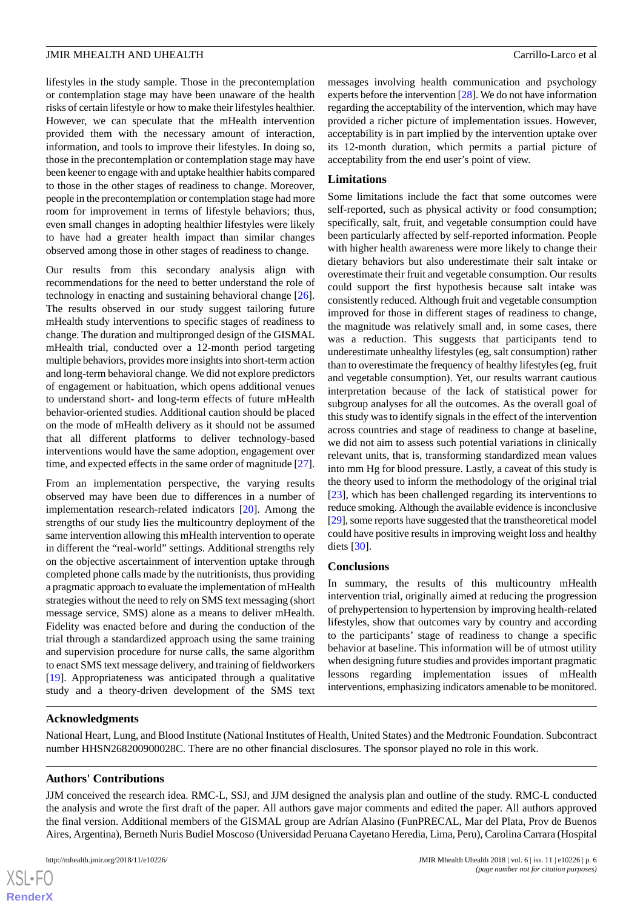lifestyles in the study sample. Those in the precontemplation or contemplation stage may have been unaware of the health risks of certain lifestyle or how to make their lifestyles healthier. However, we can speculate that the mHealth intervention provided them with the necessary amount of interaction, information, and tools to improve their lifestyles. In doing so, those in the precontemplation or contemplation stage may have been keener to engage with and uptake healthier habits compared to those in the other stages of readiness to change. Moreover, people in the precontemplation or contemplation stage had more room for improvement in terms of lifestyle behaviors; thus, even small changes in adopting healthier lifestyles were likely to have had a greater health impact than similar changes observed among those in other stages of readiness to change.

Our results from this secondary analysis align with recommendations for the need to better understand the role of technology in enacting and sustaining behavioral change [[26\]](#page-7-18). The results observed in our study suggest tailoring future mHealth study interventions to specific stages of readiness to change. The duration and multipronged design of the GISMAL mHealth trial, conducted over a 12-month period targeting multiple behaviors, provides more insights into short-term action and long-term behavioral change. We did not explore predictors of engagement or habituation, which opens additional venues to understand short- and long-term effects of future mHealth behavior-oriented studies. Additional caution should be placed on the mode of mHealth delivery as it should not be assumed that all different platforms to deliver technology-based interventions would have the same adoption, engagement over time, and expected effects in the same order of magnitude [[27\]](#page-8-0).

From an implementation perspective, the varying results observed may have been due to differences in a number of implementation research-related indicators [[20\]](#page-7-12). Among the strengths of our study lies the multicountry deployment of the same intervention allowing this mHealth intervention to operate in different the "real-world" settings. Additional strengths rely on the objective ascertainment of intervention uptake through completed phone calls made by the nutritionists, thus providing a pragmatic approach to evaluate the implementation of mHealth strategies without the need to rely on SMS text messaging (short message service, SMS) alone as a means to deliver mHealth. Fidelity was enacted before and during the conduction of the trial through a standardized approach using the same training and supervision procedure for nurse calls, the same algorithm to enact SMS text message delivery, and training of fieldworkers [[19\]](#page-7-11). Appropriateness was anticipated through a qualitative study and a theory-driven development of the SMS text

messages involving health communication and psychology experts before the intervention [\[28](#page-8-1)]. We do not have information regarding the acceptability of the intervention, which may have provided a richer picture of implementation issues. However, acceptability is in part implied by the intervention uptake over its 12-month duration, which permits a partial picture of acceptability from the end user's point of view.

## **Limitations**

Some limitations include the fact that some outcomes were self-reported, such as physical activity or food consumption; specifically, salt, fruit, and vegetable consumption could have been particularly affected by self-reported information. People with higher health awareness were more likely to change their dietary behaviors but also underestimate their salt intake or overestimate their fruit and vegetable consumption. Our results could support the first hypothesis because salt intake was consistently reduced. Although fruit and vegetable consumption improved for those in different stages of readiness to change, the magnitude was relatively small and, in some cases, there was a reduction. This suggests that participants tend to underestimate unhealthy lifestyles (eg, salt consumption) rather than to overestimate the frequency of healthy lifestyles (eg, fruit and vegetable consumption). Yet, our results warrant cautious interpretation because of the lack of statistical power for subgroup analyses for all the outcomes. As the overall goal of this study was to identify signals in the effect of the intervention across countries and stage of readiness to change at baseline, we did not aim to assess such potential variations in clinically relevant units, that is, transforming standardized mean values into mm Hg for blood pressure. Lastly, a caveat of this study is the theory used to inform the methodology of the original trial [[23\]](#page-7-15), which has been challenged regarding its interventions to reduce smoking. Although the available evidence is inconclusive [[29\]](#page-8-2), some reports have suggested that the transtheoretical model could have positive results in improving weight loss and healthy diets [\[30](#page-8-3)].

#### **Conclusions**

In summary, the results of this multicountry mHealth intervention trial, originally aimed at reducing the progression of prehypertension to hypertension by improving health-related lifestyles, show that outcomes vary by country and according to the participants' stage of readiness to change a specific behavior at baseline. This information will be of utmost utility when designing future studies and provides important pragmatic lessons regarding implementation issues of mHealth interventions, emphasizing indicators amenable to be monitored.

## **Acknowledgments**

National Heart, Lung, and Blood Institute (National Institutes of Health, United States) and the Medtronic Foundation. Subcontract number HHSN268200900028C. There are no other financial disclosures. The sponsor played no role in this work.

## **Authors' Contributions**

JJM conceived the research idea. RMC-L, SSJ, and JJM designed the analysis plan and outline of the study. RMC-L conducted the analysis and wrote the first draft of the paper. All authors gave major comments and edited the paper. All authors approved the final version. Additional members of the GISMAL group are Adrían Alasino (FunPRECAL, Mar del Plata, Prov de Buenos Aires, Argentina), Berneth Nuris Budiel Moscoso (Universidad Peruana Cayetano Heredia, Lima, Peru), Carolina Carrara (Hospital

 $XSI - F($ **[RenderX](http://www.renderx.com/)**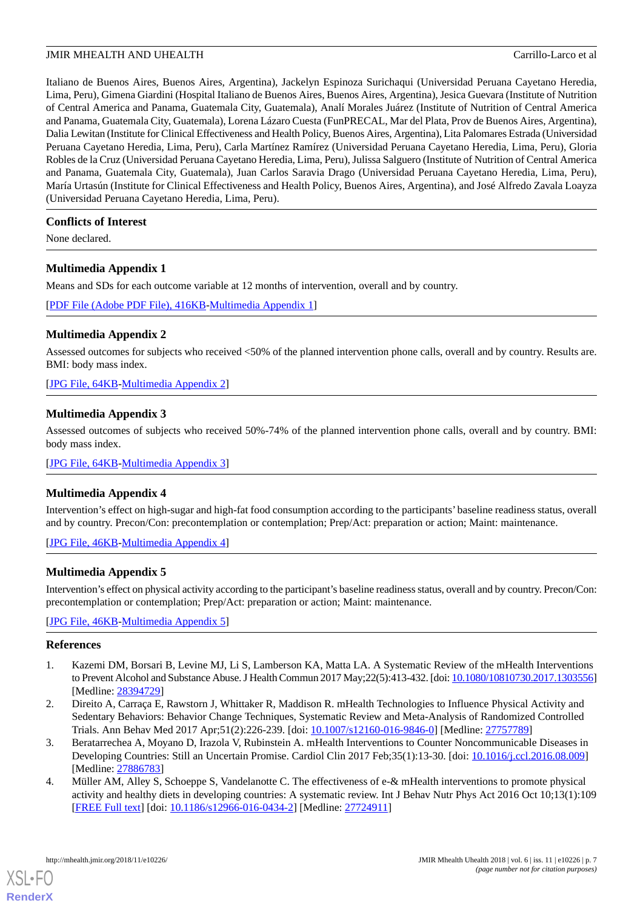Italiano de Buenos Aires, Buenos Aires, Argentina), Jackelyn Espinoza Surichaqui (Universidad Peruana Cayetano Heredia, Lima, Peru), Gimena Giardini (Hospital Italiano de Buenos Aires, Buenos Aires, Argentina), Jesica Guevara (Institute of Nutrition of Central America and Panama, Guatemala City, Guatemala), Analí Morales Juárez (Institute of Nutrition of Central America and Panama, Guatemala City, Guatemala), Lorena Lázaro Cuesta (FunPRECAL, Mar del Plata, Prov de Buenos Aires, Argentina), Dalia Lewitan (Institute for Clinical Effectiveness and Health Policy, Buenos Aires, Argentina), Lita Palomares Estrada (Universidad Peruana Cayetano Heredia, Lima, Peru), Carla Martínez Ramírez (Universidad Peruana Cayetano Heredia, Lima, Peru), Gloria Robles de la Cruz (Universidad Peruana Cayetano Heredia, Lima, Peru), Julissa Salguero (Institute of Nutrition of Central America and Panama, Guatemala City, Guatemala), Juan Carlos Saravia Drago (Universidad Peruana Cayetano Heredia, Lima, Peru), María Urtasún (Institute for Clinical Effectiveness and Health Policy, Buenos Aires, Argentina), and José Alfredo Zavala Loayza (Universidad Peruana Cayetano Heredia, Lima, Peru).

## **Conflicts of Interest**

<span id="page-6-3"></span>None declared.

## **Multimedia Appendix 1**

Means and SDs for each outcome variable at 12 months of intervention, overall and by country.

<span id="page-6-4"></span>[[PDF File \(Adobe PDF File\), 416KB-Multimedia Appendix 1](https://jmir.org/api/download?alt_name=mhealth_v6i11e10226_app1.pdf&filename=1597d6bd7bee12ec12def469f1217d8c.pdf)]

## **Multimedia Appendix 2**

Assessed outcomes for subjects who received <50% of the planned intervention phone calls, overall and by country. Results are. BMI: body mass index.

<span id="page-6-5"></span>[[JPG File, 64KB-Multimedia Appendix 2\]](https://jmir.org/api/download?alt_name=mhealth_v6i11e10226_app2.jpg&filename=02f2668868f304d346bf56058df49fc5.jpg)

## **Multimedia Appendix 3**

<span id="page-6-6"></span>Assessed outcomes of subjects who received 50%-74% of the planned intervention phone calls, overall and by country. BMI: body mass index.

[[JPG File, 64KB-Multimedia Appendix 3\]](https://jmir.org/api/download?alt_name=mhealth_v6i11e10226_app3.jpg&filename=638eb322639108bac68e5bdb6fec71c3.jpg)

## **Multimedia Appendix 4**

<span id="page-6-7"></span>Intervention's effect on high-sugar and high-fat food consumption according to the participants' baseline readiness status, overall and by country. Precon/Con: precontemplation or contemplation; Prep/Act: preparation or action; Maint: maintenance.

[[JPG File, 46KB-Multimedia Appendix 4\]](https://jmir.org/api/download?alt_name=mhealth_v6i11e10226_app4.jpg&filename=b186fd02952ee61d2d594768a937dd57.jpg)

## **Multimedia Appendix 5**

<span id="page-6-0"></span>Intervention's effect on physical activity according to the participant's baseline readiness status, overall and by country. Precon/Con: precontemplation or contemplation; Prep/Act: preparation or action; Maint: maintenance.

<span id="page-6-1"></span>[[JPG File, 46KB-Multimedia Appendix 5\]](https://jmir.org/api/download?alt_name=mhealth_v6i11e10226_app5.jpg&filename=3c18db90c8f8edfcd0ab26d2b2bb856f.jpg)

## **References**

- <span id="page-6-2"></span>1. Kazemi DM, Borsari B, Levine MJ, Li S, Lamberson KA, Matta LA. A Systematic Review of the mHealth Interventions to Prevent Alcohol and Substance Abuse. J Health Commun 2017 May;22(5):413-432. [doi: [10.1080/10810730.2017.1303556\]](http://dx.doi.org/10.1080/10810730.2017.1303556) [Medline: [28394729](http://www.ncbi.nlm.nih.gov/entrez/query.fcgi?cmd=Retrieve&db=PubMed&list_uids=28394729&dopt=Abstract)]
- 2. Direito A, Carraça E, Rawstorn J, Whittaker R, Maddison R. mHealth Technologies to Influence Physical Activity and Sedentary Behaviors: Behavior Change Techniques, Systematic Review and Meta-Analysis of Randomized Controlled Trials. Ann Behav Med 2017 Apr;51(2):226-239. [doi: [10.1007/s12160-016-9846-0](http://dx.doi.org/10.1007/s12160-016-9846-0)] [Medline: [27757789\]](http://www.ncbi.nlm.nih.gov/entrez/query.fcgi?cmd=Retrieve&db=PubMed&list_uids=27757789&dopt=Abstract)
- 3. Beratarrechea A, Moyano D, Irazola V, Rubinstein A. mHealth Interventions to Counter Noncommunicable Diseases in Developing Countries: Still an Uncertain Promise. Cardiol Clin 2017 Feb;35(1):13-30. [doi: [10.1016/j.ccl.2016.08.009\]](http://dx.doi.org/10.1016/j.ccl.2016.08.009) [Medline: [27886783](http://www.ncbi.nlm.nih.gov/entrez/query.fcgi?cmd=Retrieve&db=PubMed&list_uids=27886783&dopt=Abstract)]
- 4. Müller AM, Alley S, Schoeppe S, Vandelanotte C. The effectiveness of e-& mHealth interventions to promote physical activity and healthy diets in developing countries: A systematic review. Int J Behav Nutr Phys Act 2016 Oct 10;13(1):109 [[FREE Full text](https://ijbnpa.biomedcentral.com/articles/10.1186/s12966-016-0434-2)] [doi: [10.1186/s12966-016-0434-2\]](http://dx.doi.org/10.1186/s12966-016-0434-2) [Medline: [27724911](http://www.ncbi.nlm.nih.gov/entrez/query.fcgi?cmd=Retrieve&db=PubMed&list_uids=27724911&dopt=Abstract)]

[XSL](http://www.w3.org/Style/XSL)•FO **[RenderX](http://www.renderx.com/)**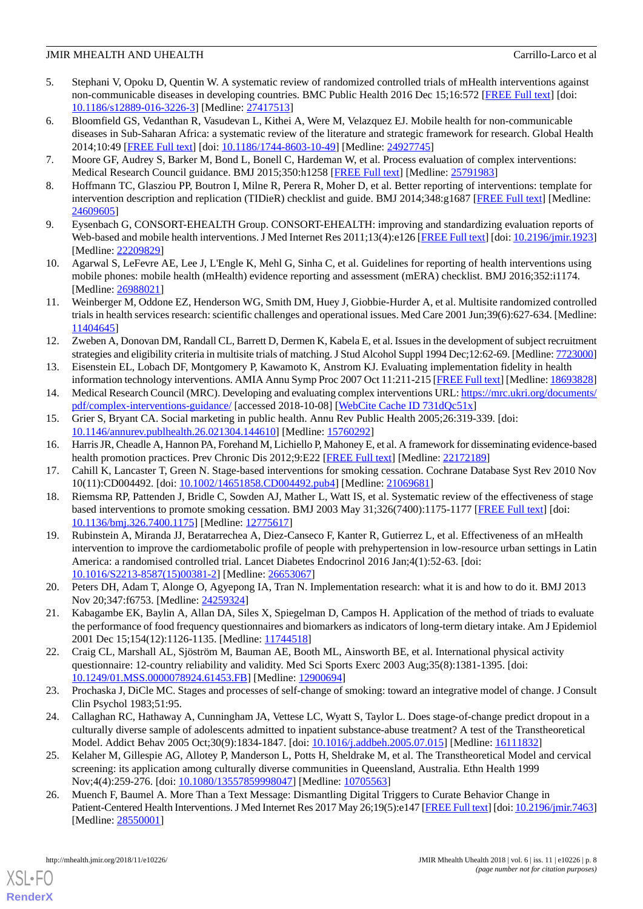- 5. Stephani V, Opoku D, Quentin W. A systematic review of randomized controlled trials of mHealth interventions against non-communicable diseases in developing countries. BMC Public Health 2016 Dec 15;16:572 [\[FREE Full text\]](https://bmcpublichealth.biomedcentral.com/articles/10.1186/s12889-016-3226-3) [doi: [10.1186/s12889-016-3226-3\]](http://dx.doi.org/10.1186/s12889-016-3226-3) [Medline: [27417513](http://www.ncbi.nlm.nih.gov/entrez/query.fcgi?cmd=Retrieve&db=PubMed&list_uids=27417513&dopt=Abstract)]
- <span id="page-7-0"></span>6. Bloomfield GS, Vedanthan R, Vasudevan L, Kithei A, Were M, Velazquez EJ. Mobile health for non-communicable diseases in Sub-Saharan Africa: a systematic review of the literature and strategic framework for research. Global Health 2014;10:49 [[FREE Full text](http://www.globalizationandhealth.com/content/10//49)] [doi: [10.1186/1744-8603-10-49\]](http://dx.doi.org/10.1186/1744-8603-10-49) [Medline: [24927745\]](http://www.ncbi.nlm.nih.gov/entrez/query.fcgi?cmd=Retrieve&db=PubMed&list_uids=24927745&dopt=Abstract)
- <span id="page-7-1"></span>7. Moore GF, Audrey S, Barker M, Bond L, Bonell C, Hardeman W, et al. Process evaluation of complex interventions: Medical Research Council guidance. BMJ 2015;350:h1258 [[FREE Full text\]](http://europepmc.org/abstract/MED/25791983) [Medline: [25791983\]](http://www.ncbi.nlm.nih.gov/entrez/query.fcgi?cmd=Retrieve&db=PubMed&list_uids=25791983&dopt=Abstract)
- 8. Hoffmann TC, Glasziou PP, Boutron I, Milne R, Perera R, Moher D, et al. Better reporting of interventions: template for intervention description and replication (TIDieR) checklist and guide. BMJ 2014;348:g1687 [[FREE Full text](http://www.bmj.com/cgi/pmidlookup?view=long&pmid=24609605)] [Medline: [24609605](http://www.ncbi.nlm.nih.gov/entrez/query.fcgi?cmd=Retrieve&db=PubMed&list_uids=24609605&dopt=Abstract)]
- <span id="page-7-2"></span>9. Eysenbach G, CONSORT-EHEALTH Group. CONSORT-EHEALTH: improving and standardizing evaluation reports of Web-based and mobile health interventions. J Med Internet Res 2011;13(4):e126 [[FREE Full text](http://www.jmir.org/2011/4/e126/)] [doi: [10.2196/jmir.1923](http://dx.doi.org/10.2196/jmir.1923)] [Medline: [22209829](http://www.ncbi.nlm.nih.gov/entrez/query.fcgi?cmd=Retrieve&db=PubMed&list_uids=22209829&dopt=Abstract)]
- <span id="page-7-3"></span>10. Agarwal S, LeFevre AE, Lee J, L'Engle K, Mehl G, Sinha C, et al. Guidelines for reporting of health interventions using mobile phones: mobile health (mHealth) evidence reporting and assessment (mERA) checklist. BMJ 2016;352:i1174. [Medline: [26988021](http://www.ncbi.nlm.nih.gov/entrez/query.fcgi?cmd=Retrieve&db=PubMed&list_uids=26988021&dopt=Abstract)]
- <span id="page-7-4"></span>11. Weinberger M, Oddone EZ, Henderson WG, Smith DM, Huey J, Giobbie-Hurder A, et al. Multisite randomized controlled trials in health services research: scientific challenges and operational issues. Med Care 2001 Jun;39(6):627-634. [Medline: [11404645](http://www.ncbi.nlm.nih.gov/entrez/query.fcgi?cmd=Retrieve&db=PubMed&list_uids=11404645&dopt=Abstract)]
- <span id="page-7-5"></span>12. Zweben A, Donovan DM, Randall CL, Barrett D, Dermen K, Kabela E, et al. Issues in the development of subject recruitment strategies and eligibility criteria in multisite trials of matching. J Stud Alcohol Suppl 1994 Dec;12:62-69. [Medline: [7723000\]](http://www.ncbi.nlm.nih.gov/entrez/query.fcgi?cmd=Retrieve&db=PubMed&list_uids=7723000&dopt=Abstract)
- <span id="page-7-7"></span><span id="page-7-6"></span>13. Eisenstein EL, Lobach DF, Montgomery P, Kawamoto K, Anstrom KJ. Evaluating implementation fidelity in health information technology interventions. AMIA Annu Symp Proc 2007 Oct 11:211-215 [\[FREE Full text](http://europepmc.org/abstract/MED/18693828)] [Medline: [18693828\]](http://www.ncbi.nlm.nih.gov/entrez/query.fcgi?cmd=Retrieve&db=PubMed&list_uids=18693828&dopt=Abstract)
- <span id="page-7-8"></span>14. Medical Research Council (MRC). Developing and evaluating complex interventions URL: [https://mrc.ukri.org/documents/](https://mrc.ukri.org/documents/pdf/complex-interventions-guidance/) [pdf/complex-interventions-guidance/](https://mrc.ukri.org/documents/pdf/complex-interventions-guidance/) [accessed 2018-10-08] [[WebCite Cache ID 731dQc51x](http://www.webcitation.org/

                                731dQc51x)]
- <span id="page-7-9"></span>15. Grier S, Bryant CA. Social marketing in public health. Annu Rev Public Health 2005;26:319-339. [doi: [10.1146/annurev.publhealth.26.021304.144610](http://dx.doi.org/10.1146/annurev.publhealth.26.021304.144610)] [Medline: [15760292](http://www.ncbi.nlm.nih.gov/entrez/query.fcgi?cmd=Retrieve&db=PubMed&list_uids=15760292&dopt=Abstract)]
- <span id="page-7-10"></span>16. Harris JR, Cheadle A, Hannon PA, Forehand M, Lichiello P, Mahoney E, et al. A framework for disseminating evidence-based health promotion practices. Prev Chronic Dis 2012;9:E22 [\[FREE Full text\]](http://www.cdc.gov/pcd/issues/2012/11_0081.htm) [Medline: [22172189](http://www.ncbi.nlm.nih.gov/entrez/query.fcgi?cmd=Retrieve&db=PubMed&list_uids=22172189&dopt=Abstract)]
- <span id="page-7-11"></span>17. Cahill K, Lancaster T, Green N. Stage-based interventions for smoking cessation. Cochrane Database Syst Rev 2010 Nov 10(11):CD004492. [doi: [10.1002/14651858.CD004492.pub4](http://dx.doi.org/10.1002/14651858.CD004492.pub4)] [Medline: [21069681](http://www.ncbi.nlm.nih.gov/entrez/query.fcgi?cmd=Retrieve&db=PubMed&list_uids=21069681&dopt=Abstract)]
- 18. Riemsma RP, Pattenden J, Bridle C, Sowden AJ, Mather L, Watt IS, et al. Systematic review of the effectiveness of stage based interventions to promote smoking cessation. BMJ 2003 May 31;326(7400):1175-1177 [[FREE Full text](http://europepmc.org/abstract/MED/12775617)] [doi: [10.1136/bmj.326.7400.1175\]](http://dx.doi.org/10.1136/bmj.326.7400.1175) [Medline: [12775617\]](http://www.ncbi.nlm.nih.gov/entrez/query.fcgi?cmd=Retrieve&db=PubMed&list_uids=12775617&dopt=Abstract)
- <span id="page-7-13"></span><span id="page-7-12"></span>19. Rubinstein A, Miranda JJ, Beratarrechea A, Diez-Canseco F, Kanter R, Gutierrez L, et al. Effectiveness of an mHealth intervention to improve the cardiometabolic profile of people with prehypertension in low-resource urban settings in Latin America: a randomised controlled trial. Lancet Diabetes Endocrinol 2016 Jan;4(1):52-63. [doi: [10.1016/S2213-8587\(15\)00381-2\]](http://dx.doi.org/10.1016/S2213-8587(15)00381-2) [Medline: [26653067](http://www.ncbi.nlm.nih.gov/entrez/query.fcgi?cmd=Retrieve&db=PubMed&list_uids=26653067&dopt=Abstract)]
- <span id="page-7-14"></span>20. Peters DH, Adam T, Alonge O, Agyepong IA, Tran N. Implementation research: what it is and how to do it. BMJ 2013 Nov 20;347:f6753. [Medline: [24259324\]](http://www.ncbi.nlm.nih.gov/entrez/query.fcgi?cmd=Retrieve&db=PubMed&list_uids=24259324&dopt=Abstract)
- <span id="page-7-15"></span>21. Kabagambe EK, Baylin A, Allan DA, Siles X, Spiegelman D, Campos H. Application of the method of triads to evaluate the performance of food frequency questionnaires and biomarkers as indicators of long-term dietary intake. Am J Epidemiol 2001 Dec 15;154(12):1126-1135. [Medline: [11744518](http://www.ncbi.nlm.nih.gov/entrez/query.fcgi?cmd=Retrieve&db=PubMed&list_uids=11744518&dopt=Abstract)]
- <span id="page-7-16"></span>22. Craig CL, Marshall AL, Sjöström M, Bauman AE, Booth ML, Ainsworth BE, et al. International physical activity questionnaire: 12-country reliability and validity. Med Sci Sports Exerc 2003 Aug;35(8):1381-1395. [doi: [10.1249/01.MSS.0000078924.61453.FB](http://dx.doi.org/10.1249/01.MSS.0000078924.61453.FB)] [Medline: [12900694\]](http://www.ncbi.nlm.nih.gov/entrez/query.fcgi?cmd=Retrieve&db=PubMed&list_uids=12900694&dopt=Abstract)
- <span id="page-7-17"></span>23. Prochaska J, DiCle MC. Stages and processes of self-change of smoking: toward an integrative model of change. J Consult Clin Psychol 1983;51:95.
- <span id="page-7-18"></span>24. Callaghan RC, Hathaway A, Cunningham JA, Vettese LC, Wyatt S, Taylor L. Does stage-of-change predict dropout in a culturally diverse sample of adolescents admitted to inpatient substance-abuse treatment? A test of the Transtheoretical Model. Addict Behav 2005 Oct;30(9):1834-1847. [doi: [10.1016/j.addbeh.2005.07.015](http://dx.doi.org/10.1016/j.addbeh.2005.07.015)] [Medline: [16111832\]](http://www.ncbi.nlm.nih.gov/entrez/query.fcgi?cmd=Retrieve&db=PubMed&list_uids=16111832&dopt=Abstract)
- 25. Kelaher M, Gillespie AG, Allotey P, Manderson L, Potts H, Sheldrake M, et al. The Transtheoretical Model and cervical screening: its application among culturally diverse communities in Queensland, Australia. Ethn Health 1999 Nov;4(4):259-276. [doi: [10.1080/13557859998047\]](http://dx.doi.org/10.1080/13557859998047) [Medline: [10705563\]](http://www.ncbi.nlm.nih.gov/entrez/query.fcgi?cmd=Retrieve&db=PubMed&list_uids=10705563&dopt=Abstract)
- 26. Muench F, Baumel A. More Than a Text Message: Dismantling Digital Triggers to Curate Behavior Change in Patient-Centered Health Interventions. J Med Internet Res 2017 May 26;19(5):e147 [[FREE Full text\]](http://www.jmir.org/2017/5/e147/) [doi: [10.2196/jmir.7463\]](http://dx.doi.org/10.2196/jmir.7463) [Medline: [28550001](http://www.ncbi.nlm.nih.gov/entrez/query.fcgi?cmd=Retrieve&db=PubMed&list_uids=28550001&dopt=Abstract)]

[XSL](http://www.w3.org/Style/XSL)•FO **[RenderX](http://www.renderx.com/)**